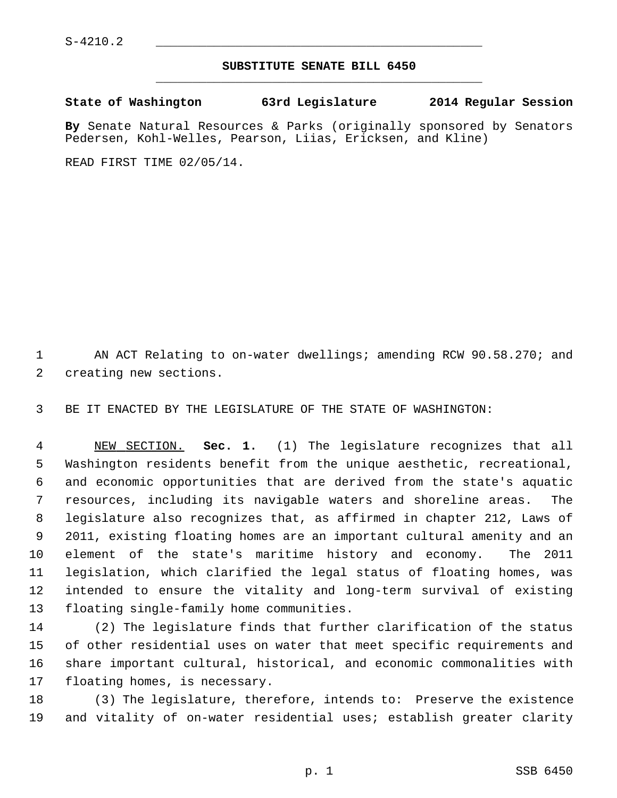## **SUBSTITUTE SENATE BILL 6450** \_\_\_\_\_\_\_\_\_\_\_\_\_\_\_\_\_\_\_\_\_\_\_\_\_\_\_\_\_\_\_\_\_\_\_\_\_\_\_\_\_\_\_\_\_

**State of Washington 63rd Legislature 2014 Regular Session**

**By** Senate Natural Resources & Parks (originally sponsored by Senators Pedersen, Kohl-Welles, Pearson, Liias, Ericksen, and Kline)

READ FIRST TIME 02/05/14.

1 AN ACT Relating to on-water dwellings; amending RCW 90.58.270; and 2 creating new sections.

3 BE IT ENACTED BY THE LEGISLATURE OF THE STATE OF WASHINGTON:

 4 NEW SECTION. **Sec. 1.** (1) The legislature recognizes that all 5 Washington residents benefit from the unique aesthetic, recreational, 6 and economic opportunities that are derived from the state's aquatic 7 resources, including its navigable waters and shoreline areas. The 8 legislature also recognizes that, as affirmed in chapter 212, Laws of 9 2011, existing floating homes are an important cultural amenity and an 10 element of the state's maritime history and economy. The 2011 11 legislation, which clarified the legal status of floating homes, was 12 intended to ensure the vitality and long-term survival of existing 13 floating single-family home communities.

14 (2) The legislature finds that further clarification of the status 15 of other residential uses on water that meet specific requirements and 16 share important cultural, historical, and economic commonalities with 17 floating homes, is necessary.

18 (3) The legislature, therefore, intends to: Preserve the existence 19 and vitality of on-water residential uses; establish greater clarity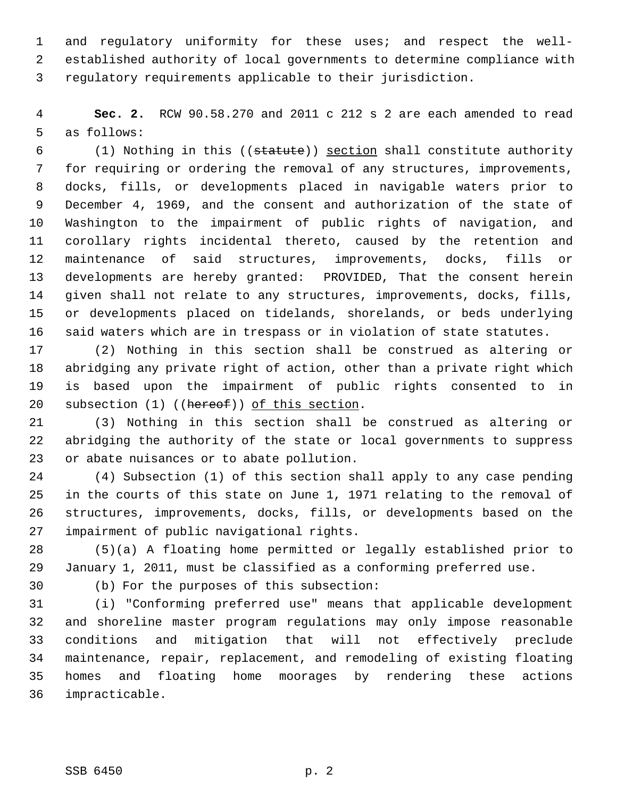1 and regulatory uniformity for these uses; and respect the well- 2 established authority of local governments to determine compliance with 3 regulatory requirements applicable to their jurisdiction.

 4 **Sec. 2.** RCW 90.58.270 and 2011 c 212 s 2 are each amended to read 5 as follows:

 6 (1) Nothing in this ((statute)) section shall constitute authority 7 for requiring or ordering the removal of any structures, improvements, 8 docks, fills, or developments placed in navigable waters prior to 9 December 4, 1969, and the consent and authorization of the state of 10 Washington to the impairment of public rights of navigation, and 11 corollary rights incidental thereto, caused by the retention and 12 maintenance of said structures, improvements, docks, fills or 13 developments are hereby granted: PROVIDED, That the consent herein 14 given shall not relate to any structures, improvements, docks, fills, 15 or developments placed on tidelands, shorelands, or beds underlying 16 said waters which are in trespass or in violation of state statutes.

17 (2) Nothing in this section shall be construed as altering or 18 abridging any private right of action, other than a private right which 19 is based upon the impairment of public rights consented to in 20 subsection (1) ((hereof)) of this section.

21 (3) Nothing in this section shall be construed as altering or 22 abridging the authority of the state or local governments to suppress 23 or abate nuisances or to abate pollution.

24 (4) Subsection (1) of this section shall apply to any case pending 25 in the courts of this state on June 1, 1971 relating to the removal of 26 structures, improvements, docks, fills, or developments based on the 27 impairment of public navigational rights.

28 (5)(a) A floating home permitted or legally established prior to 29 January 1, 2011, must be classified as a conforming preferred use.

30 (b) For the purposes of this subsection:

31 (i) "Conforming preferred use" means that applicable development 32 and shoreline master program regulations may only impose reasonable 33 conditions and mitigation that will not effectively preclude 34 maintenance, repair, replacement, and remodeling of existing floating 35 homes and floating home moorages by rendering these actions 36 impracticable.